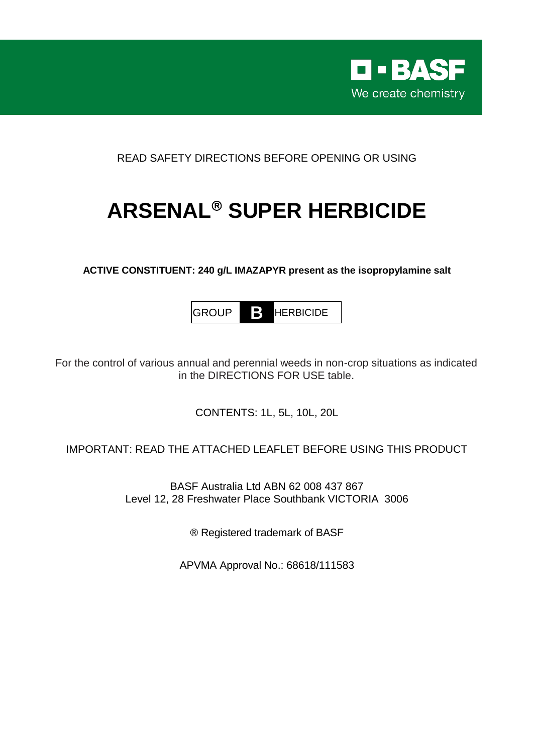

READ SAFETY DIRECTIONS BEFORE OPENING OR USING

# **ARSENAL<sup>®</sup> SUPER HERBICIDE**

**ACTIVE CONSTITUENT: 240 g/L IMAZAPYR present as the isopropylamine salt**

GROUP **B** HERBICIDE

For the control of various annual and perennial weeds in non-crop situations as indicated in the DIRECTIONS FOR USE table.

CONTENTS: 1L, 5L, 10L, 20L

IMPORTANT: READ THE ATTACHED LEAFLET BEFORE USING THIS PRODUCT

BASF Australia Ltd ABN 62 008 437 867 Level 12, 28 Freshwater Place Southbank VICTORIA 3006

® Registered trademark of BASF

APVMA Approval No.: 68618/111583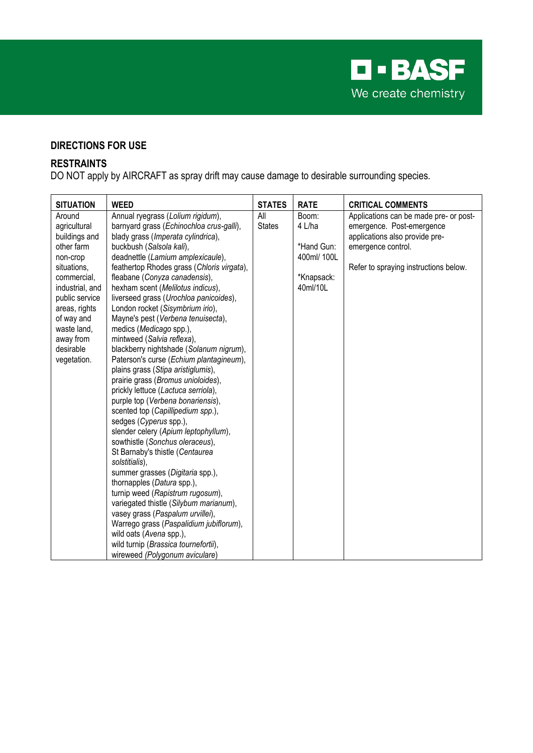

# **DIRECTIONS FOR USE**

# **RESTRAINTS**

DO NOT apply by AIRCRAFT as spray drift may cause damage to desirable surrounding species.

| <b>SITUATION</b> | <b>WEED</b>                                | <b>STATES</b> | <b>RATE</b> | <b>CRITICAL COMMENTS</b>               |
|------------------|--------------------------------------------|---------------|-------------|----------------------------------------|
| Around           | Annual ryegrass (Lolium rigidum),          | All           | Boom:       | Applications can be made pre- or post- |
| agricultural     | barnyard grass (Echinochloa crus-galli),   | <b>States</b> | 4 L/ha      | emergence. Post-emergence              |
| buildings and    | blady grass (Imperata cylindrica),         |               |             | applications also provide pre-         |
| other farm       | buckbush (Salsola kali),                   |               | *Hand Gun:  | emergence control.                     |
| non-crop         | deadnettle (Lamium amplexicaule),          |               | 400ml/ 100L |                                        |
| situations,      | feathertop Rhodes grass (Chloris virgata), |               |             | Refer to spraying instructions below.  |
| commercial,      | fleabane (Conyza canadensis),              |               | *Knapsack:  |                                        |
| industrial, and  | hexham scent (Melilotus indicus),          |               | 40ml/10L    |                                        |
| public service   | liverseed grass (Urochloa panicoides),     |               |             |                                        |
| areas, rights    | London rocket (Sisymbrium irio),           |               |             |                                        |
| of way and       | Mayne's pest (Verbena tenuisecta),         |               |             |                                        |
| waste land,      | medics (Medicago spp.),                    |               |             |                                        |
| away from        | mintweed (Salvia reflexa),                 |               |             |                                        |
| desirable        | blackberry nightshade (Solanum nigrum),    |               |             |                                        |
| vegetation.      | Paterson's curse (Echium plantagineum),    |               |             |                                        |
|                  | plains grass (Stipa aristiglumis),         |               |             |                                        |
|                  | prairie grass (Bromus unioloides),         |               |             |                                        |
|                  | prickly lettuce (Lactuca serriola),        |               |             |                                        |
|                  | purple top (Verbena bonariensis),          |               |             |                                        |
|                  | scented top (Capillipedium spp.),          |               |             |                                        |
|                  | sedges (Cyperus spp.),                     |               |             |                                        |
|                  | slender celery (Apium leptophyllum),       |               |             |                                        |
|                  | sowthistle (Sonchus oleraceus),            |               |             |                                        |
|                  | St Barnaby's thistle (Centaurea            |               |             |                                        |
|                  | solstitialis),                             |               |             |                                        |
|                  | summer grasses (Digitaria spp.),           |               |             |                                        |
|                  | thornapples (Datura spp.),                 |               |             |                                        |
|                  | turnip weed (Rapistrum rugosum),           |               |             |                                        |
|                  | variegated thistle (Silybum marianum),     |               |             |                                        |
|                  | vasey grass (Paspalum urvillei),           |               |             |                                        |
|                  | Warrego grass (Paspalidium jubiflorum),    |               |             |                                        |
|                  | wild oats (Avena spp.),                    |               |             |                                        |
|                  | wild turnip (Brassica tournefortii),       |               |             |                                        |
|                  | wireweed (Polygonum aviculare)             |               |             |                                        |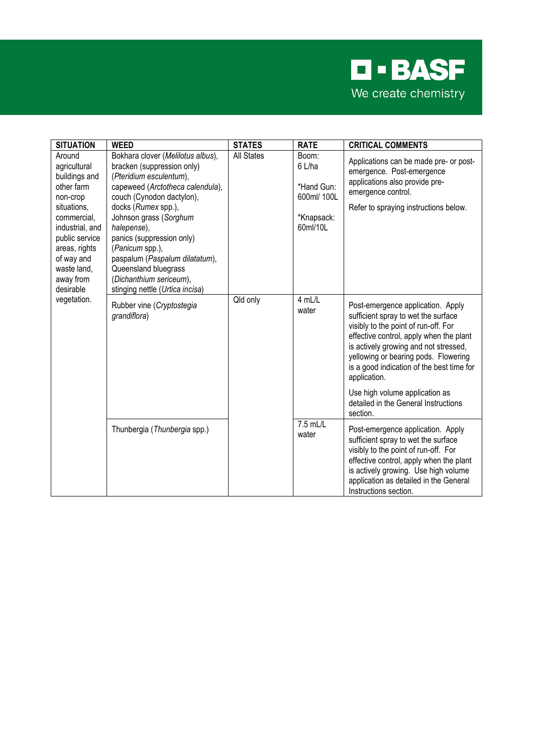

| <b>SITUATION</b>                                                                                                                                                                                                            | <b>WEED</b>                                                                                                                                                                                                                                                                                                                                                                                         | <b>STATES</b>     | <b>RATE</b>                                                            | <b>CRITICAL COMMENTS</b>                                                                                                                                                                                                                                                                                                                    |
|-----------------------------------------------------------------------------------------------------------------------------------------------------------------------------------------------------------------------------|-----------------------------------------------------------------------------------------------------------------------------------------------------------------------------------------------------------------------------------------------------------------------------------------------------------------------------------------------------------------------------------------------------|-------------------|------------------------------------------------------------------------|---------------------------------------------------------------------------------------------------------------------------------------------------------------------------------------------------------------------------------------------------------------------------------------------------------------------------------------------|
| Around<br>agricultural<br>buildings and<br>other farm<br>non-crop<br>situations,<br>commercial,<br>industrial, and<br>public service<br>areas, rights<br>of way and<br>waste land,<br>away from<br>desirable<br>vegetation. | Bokhara clover (Melilotus albus),<br>bracken (suppression only)<br>(Pteridium esculentum),<br>capeweed (Arctotheca calendula),<br>couch (Cynodon dactylon),<br>docks (Rumex spp.),<br>Johnson grass (Sorghum<br>halepense),<br>panics (suppression only)<br>(Panicum spp.),<br>paspalum (Paspalum dilatatum),<br>Queensland bluegrass<br>(Dichanthium sericeum),<br>stinging nettle (Urtica incisa) | <b>All States</b> | Boom:<br>6 L/ha<br>*Hand Gun:<br>600ml/ 100L<br>*Knapsack:<br>60ml/10L | Applications can be made pre- or post-<br>emergence. Post-emergence<br>applications also provide pre-<br>emergence control.<br>Refer to spraying instructions below.                                                                                                                                                                        |
|                                                                                                                                                                                                                             | Rubber vine (Cryptostegia<br>grandiflora)                                                                                                                                                                                                                                                                                                                                                           | Qld only          | 4 mL/L<br>water                                                        | Post-emergence application. Apply<br>sufficient spray to wet the surface<br>visibly to the point of run-off. For<br>effective control, apply when the plant<br>is actively growing and not stressed,<br>yellowing or bearing pods. Flowering<br>is a good indication of the best time for<br>application.<br>Use high volume application as |
|                                                                                                                                                                                                                             |                                                                                                                                                                                                                                                                                                                                                                                                     |                   |                                                                        | detailed in the General Instructions<br>section.                                                                                                                                                                                                                                                                                            |
|                                                                                                                                                                                                                             | Thunbergia (Thunbergia spp.)                                                                                                                                                                                                                                                                                                                                                                        |                   | $7.5$ mL/L<br>water                                                    | Post-emergence application. Apply<br>sufficient spray to wet the surface<br>visibly to the point of run-off. For<br>effective control, apply when the plant<br>is actively growing. Use high volume<br>application as detailed in the General<br>Instructions section.                                                                      |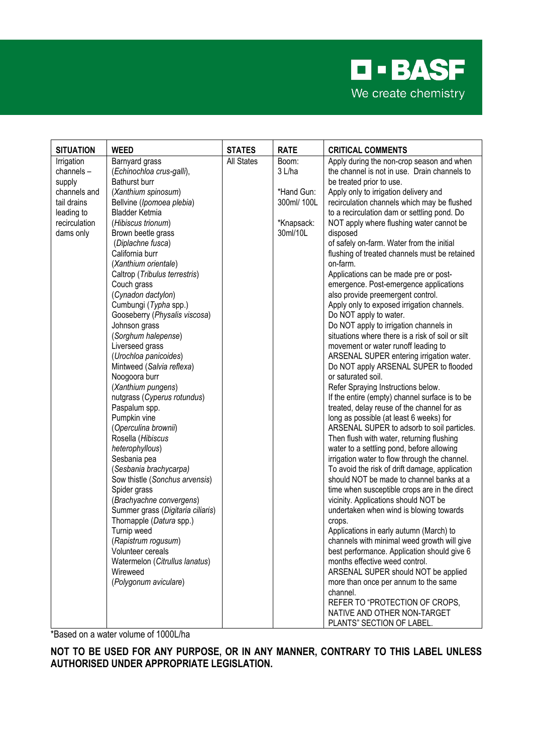

| <b>SITUATION</b>          | <b>WEED</b>                                        | <b>STATES</b>     | <b>RATE</b>               | <b>CRITICAL COMMENTS</b>                                                                   |
|---------------------------|----------------------------------------------------|-------------------|---------------------------|--------------------------------------------------------------------------------------------|
| Irrigation                | Barnyard grass                                     | <b>All States</b> | Boom:                     | Apply during the non-crop season and when                                                  |
| channels-                 | (Echinochloa crus-galli),                          |                   | 3 L/ha                    | the channel is not in use. Drain channels to                                               |
| supply                    | Bathurst burr                                      |                   |                           | be treated prior to use.                                                                   |
| channels and              | (Xanthium spinosum)                                |                   | *Hand Gun:<br>300ml/ 100L | Apply only to irrigation delivery and                                                      |
| tail drains<br>leading to | Bellvine (Ipomoea plebia)<br><b>Bladder Ketmia</b> |                   |                           | recirculation channels which may be flushed<br>to a recirculation dam or settling pond. Do |
| recirculation             | (Hibiscus trionum)                                 |                   | *Knapsack:                | NOT apply where flushing water cannot be                                                   |
| dams only                 | Brown beetle grass                                 |                   | 30ml/10L                  | disposed                                                                                   |
|                           | (Diplachne fusca)                                  |                   |                           | of safely on-farm. Water from the initial                                                  |
|                           | California burr                                    |                   |                           | flushing of treated channels must be retained                                              |
|                           | (Xanthium orientale)                               |                   |                           | on-farm.                                                                                   |
|                           | Caltrop (Tribulus terrestris)                      |                   |                           | Applications can be made pre or post-                                                      |
|                           | Couch grass                                        |                   |                           | emergence. Post-emergence applications                                                     |
|                           | (Cynadon dactylon)                                 |                   |                           | also provide preemergent control.                                                          |
|                           | Cumbungi (Typha spp.)                              |                   |                           | Apply only to exposed irrigation channels.                                                 |
|                           | Gooseberry (Physalis viscosa)<br>Johnson grass     |                   |                           | Do NOT apply to water.<br>Do NOT apply to irrigation channels in                           |
|                           | (Sorghum halepense)                                |                   |                           | situations where there is a risk of soil or silt                                           |
|                           | Liverseed grass                                    |                   |                           | movement or water runoff leading to                                                        |
|                           | (Urochloa panicoides)                              |                   |                           | ARSENAL SUPER entering irrigation water.                                                   |
|                           | Mintweed (Salvia reflexa)                          |                   |                           | Do NOT apply ARSENAL SUPER to flooded                                                      |
|                           | Noogoora burr                                      |                   |                           | or saturated soil.                                                                         |
|                           | (Xanthium pungens)                                 |                   |                           | Refer Spraying Instructions below.                                                         |
|                           | nutgrass (Cyperus rotundus)                        |                   |                           | If the entire (empty) channel surface is to be                                             |
|                           | Paspalum spp.                                      |                   |                           | treated, delay reuse of the channel for as                                                 |
|                           | Pumpkin vine                                       |                   |                           | long as possible (at least 6 weeks) for                                                    |
|                           | (Operculina brownii)<br>Rosella (Hibiscus          |                   |                           | ARSENAL SUPER to adsorb to soil particles.<br>Then flush with water, returning flushing    |
|                           | heterophyllous)                                    |                   |                           | water to a settling pond, before allowing                                                  |
|                           | Sesbania pea                                       |                   |                           | irrigation water to flow through the channel.                                              |
|                           | (Sesbania brachycarpa)                             |                   |                           | To avoid the risk of drift damage, application                                             |
|                           | Sow thistle (Sonchus arvensis)                     |                   |                           | should NOT be made to channel banks at a                                                   |
|                           | Spider grass                                       |                   |                           | time when susceptible crops are in the direct                                              |
|                           | (Brachyachne convergens)                           |                   |                           | vicinity. Applications should NOT be                                                       |
|                           | Summer grass (Digitaria ciliaris)                  |                   |                           | undertaken when wind is blowing towards                                                    |
|                           | Thornapple (Datura spp.)                           |                   |                           | crops.                                                                                     |
|                           | Turnip weed                                        |                   |                           | Applications in early autumn (March) to                                                    |
|                           | (Rapistrum rogusum)<br>Volunteer cereals           |                   |                           | channels with minimal weed growth will give<br>best performance. Application should give 6 |
|                           | Watermelon (Citrullus lanatus)                     |                   |                           | months effective weed control.                                                             |
|                           | Wireweed                                           |                   |                           | ARSENAL SUPER should NOT be applied                                                        |
|                           | (Polygonum aviculare)                              |                   |                           | more than once per annum to the same                                                       |
|                           |                                                    |                   |                           | channel.                                                                                   |
|                           |                                                    |                   |                           | REFER TO "PROTECTION OF CROPS,                                                             |
|                           |                                                    |                   |                           | NATIVE AND OTHER NON-TARGET                                                                |
|                           |                                                    |                   |                           | PLANTS" SECTION OF LABEL.                                                                  |

\*Based on a water volume of 1000L/ha

**NOT TO BE USED FOR ANY PURPOSE, OR IN ANY MANNER, CONTRARY TO THIS LABEL UNLESS AUTHORISED UNDER APPROPRIATE LEGISLATION.**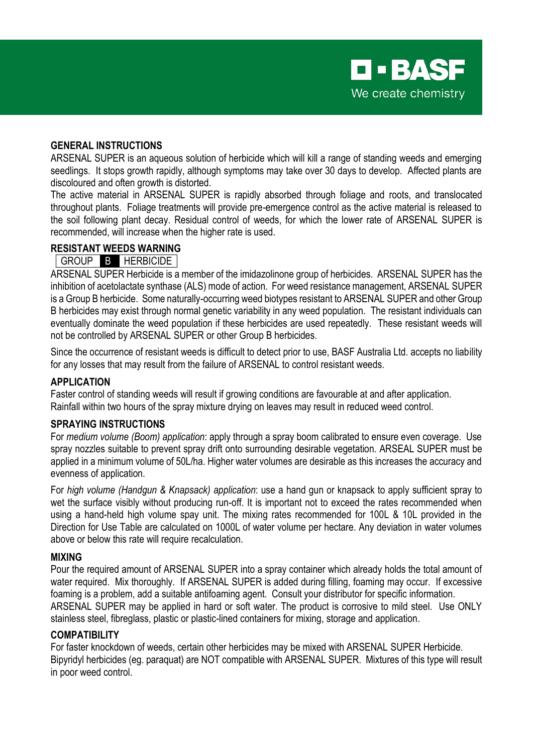

#### **GENERAL INSTRUCTIONS**

ARSENAL SUPER is an aqueous solution of herbicide which will kill a range of standing weeds and emerging seedlings. It stops growth rapidly, although symptoms may take over 30 days to develop. Affected plants are discoloured and often growth is distorted.

The active material in ARSENAL SUPER is rapidly absorbed through foliage and roots, and translocated throughout plants. Foliage treatments will provide pre-emergence control as the active material is released to the soil following plant decay. Residual control of weeds, for which the lower rate of ARSENAL SUPER is recommended, will increase when the higher rate is used.

#### **RESISTANT WEEDS WARNING**

# GROUP B HERBICIDE

ARSENAL SUPER Herbicide is a member of the imidazolinone group of herbicides. ARSENAL SUPER has the inhibition of acetolactate synthase (ALS) mode of action. For weed resistance management, ARSENAL SUPER is a Group B herbicide. Some naturally-occurring weed biotypes resistant to ARSENAL SUPER and other Group B herbicides may exist through normal genetic variability in any weed population. The resistant individuals can eventually dominate the weed population if these herbicides are used repeatedly. These resistant weeds will not be controlled by ARSENAL SUPER or other Group B herbicides.

Since the occurrence of resistant weeds is difficult to detect prior to use, BASF Australia Ltd. accepts no liability for any losses that may result from the failure of ARSENAL to control resistant weeds.

#### **APPLICATION**

Faster control of standing weeds will result if growing conditions are favourable at and after application. Rainfall within two hours of the spray mixture drying on leaves may result in reduced weed control.

#### **SPRAYING INSTRUCTIONS**

For *medium volume (Boom) application*: apply through a spray boom calibrated to ensure even coverage. Use spray nozzles suitable to prevent spray drift onto surrounding desirable vegetation. ARSEAL SUPER must be applied in a minimum volume of 50L/ha. Higher water volumes are desirable as this increases the accuracy and evenness of application.

For *high volume (Handgun & Knapsack) application*: use a hand gun or knapsack to apply sufficient spray to wet the surface visibly without producing run-off. It is important not to exceed the rates recommended when using a hand-held high volume spay unit. The mixing rates recommended for 100L & 10L provided in the Direction for Use Table are calculated on 1000L of water volume per hectare. Any deviation in water volumes above or below this rate will require recalculation.

#### **MIXING**

Pour the required amount of ARSENAL SUPER into a spray container which already holds the total amount of water required. Mix thoroughly. If ARSENAL SUPER is added during filling, foaming may occur. If excessive foaming is a problem, add a suitable antifoaming agent. Consult your distributor for specific information. ARSENAL SUPER may be applied in hard or soft water. The product is corrosive to mild steel. Use ONLY stainless steel, fibreglass, plastic or plastic-lined containers for mixing, storage and application.

#### **COMPATIBILITY**

For faster knockdown of weeds, certain other herbicides may be mixed with ARSENAL SUPER Herbicide. Bipyridyl herbicides (eg. paraquat) are NOT compatible with ARSENAL SUPER. Mixtures of this type will result in poor weed control.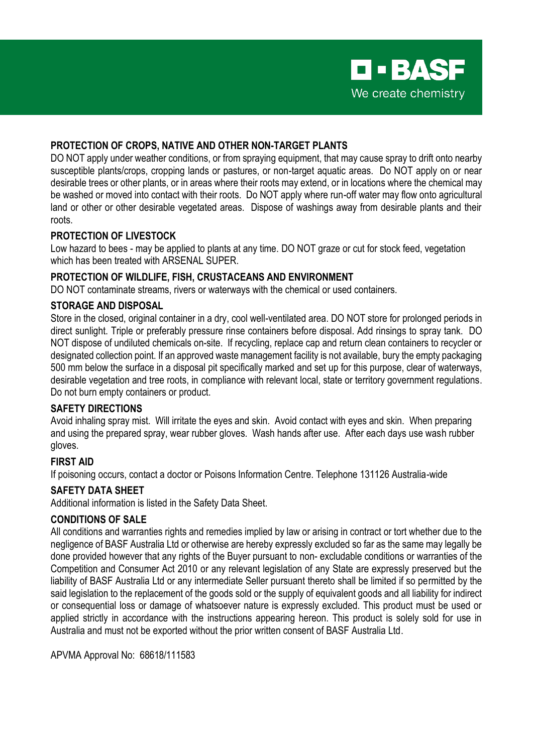#### **PROTECTION OF CROPS, NATIVE AND OTHER NON-TARGET PLANTS**

DO NOT apply under weather conditions, or from spraying equipment, that may cause spray to drift onto nearby susceptible plants/crops, cropping lands or pastures, or non-target aquatic areas. Do NOT apply on or near desirable trees or other plants, or in areas where their roots may extend, or in locations where the chemical may be washed or moved into contact with their roots. Do NOT apply where run-off water may flow onto agricultural land or other or other desirable vegetated areas. Dispose of washings away from desirable plants and their roots.

#### **PROTECTION OF LIVESTOCK**

Low hazard to bees - may be applied to plants at any time. DO NOT graze or cut for stock feed, vegetation which has been treated with ARSENAL SUPER.

#### **PROTECTION OF WILDLIFE, FISH, CRUSTACEANS AND ENVIRONMENT**

DO NOT contaminate streams, rivers or waterways with the chemical or used containers.

#### **STORAGE AND DISPOSAL**

Store in the closed, original container in a dry, cool well-ventilated area. DO NOT store for prolonged periods in direct sunlight. Triple or preferably pressure rinse containers before disposal. Add rinsings to spray tank. DO NOT dispose of undiluted chemicals on-site. If recycling, replace cap and return clean containers to recycler or designated collection point. If an approved waste management facility is not available, bury the empty packaging 500 mm below the surface in a disposal pit specifically marked and set up for this purpose, clear of waterways, desirable vegetation and tree roots, in compliance with relevant local, state or territory government regulations. Do not burn empty containers or product.

## **SAFETY DIRECTIONS**

Avoid inhaling spray mist. Will irritate the eyes and skin. Avoid contact with eyes and skin. When preparing and using the prepared spray, wear rubber gloves. Wash hands after use. After each days use wash rubber gloves.

## **FIRST AID**

If poisoning occurs, contact a doctor or Poisons Information Centre. Telephone 131126 Australia-wide

## **SAFETY DATA SHEET**

Additional information is listed in the Safety Data Sheet.

# **CONDITIONS OF SALE**

All conditions and warranties rights and remedies implied by law or arising in contract or tort whether due to the negligence of BASF Australia Ltd or otherwise are hereby expressly excluded so far as the same may legally be done provided however that any rights of the Buyer pursuant to non-excludable conditions or warranties of the Competition and Consumer Act 2010 or any relevant legislation of any State are expressly preserved but the liability of BASF Australia Ltd or any intermediate Seller pursuant thereto shall be limited if so permitted by the said legislation to the replacement of the goods sold or the supply of equivalent goods and all liability for indirect or consequential loss or damage of whatsoever nature is expressly excluded. This product must be used or applied strictly in accordance with the instructions appearing hereon. This product is solely sold for use in Australia and must not be exported without the prior written consent of BASF Australia Ltd.

APVMA Approval No: 68618/111583